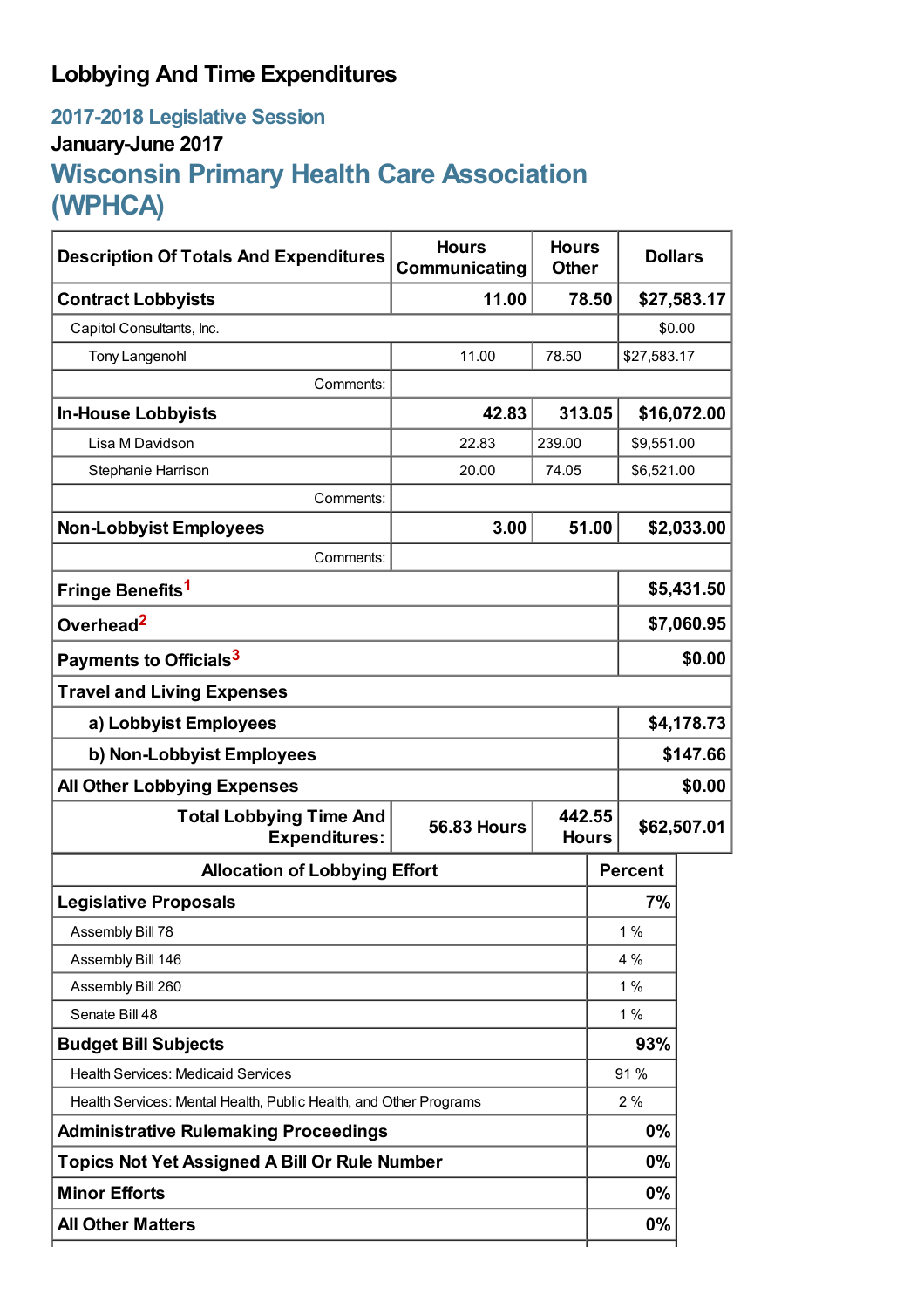## **Lobbying And Time Expenditures**

## **2017-2018 Legislative Session January-June 2017 Wisconsin Primary Health Care Association (WPHCA)**

| <b>Description Of Totals And Expenditures</b>                     | <b>Hours</b><br><b>Hours</b><br>Communicating<br><b>Other</b> |        |              | <b>Dollars</b> |             |  |
|-------------------------------------------------------------------|---------------------------------------------------------------|--------|--------------|----------------|-------------|--|
| <b>Contract Lobbyists</b>                                         | 11.00                                                         |        | 78.50        |                | \$27,583.17 |  |
| Capitol Consultants, Inc.                                         |                                                               |        |              | \$0.00         |             |  |
| <b>Tony Langenohl</b>                                             | 11.00                                                         | 78.50  |              | \$27,583.17    |             |  |
| Comments:                                                         |                                                               |        |              |                |             |  |
| <b>In-House Lobbyists</b>                                         | 42.83                                                         | 313.05 |              | \$16,072.00    |             |  |
| Lisa M Davidson                                                   | 22.83                                                         | 239.00 |              | \$9,551.00     |             |  |
| Stephanie Harrison                                                | 20.00                                                         | 74.05  |              | \$6,521.00     |             |  |
| Comments:                                                         |                                                               |        |              |                |             |  |
| <b>Non-Lobbyist Employees</b>                                     | 3.00                                                          |        | 51.00        |                | \$2,033.00  |  |
| Comments:                                                         |                                                               |        |              |                |             |  |
| Fringe Benefits <sup>1</sup>                                      |                                                               |        |              | \$5,431.50     |             |  |
| Overhead <sup>2</sup>                                             |                                                               |        |              | \$7,060.95     |             |  |
| Payments to Officials <sup>3</sup>                                |                                                               |        |              | \$0.00         |             |  |
| <b>Travel and Living Expenses</b>                                 |                                                               |        |              |                |             |  |
| a) Lobbyist Employees                                             |                                                               |        |              | \$4,178.73     |             |  |
| b) Non-Lobbyist Employees                                         |                                                               |        |              | \$147.66       |             |  |
| <b>All Other Lobbying Expenses</b>                                |                                                               |        |              |                | \$0.00      |  |
| <b>Total Lobbying Time And</b><br><b>Expenditures:</b>            | 442.55<br><b>56.83 Hours</b>                                  |        | <b>Hours</b> | \$62,507.01    |             |  |
| <b>Allocation of Lobbying Effort</b>                              |                                                               |        |              | <b>Percent</b> |             |  |
| <b>Legislative Proposals</b>                                      |                                                               |        |              | 7%             |             |  |
| Assembly Bill 78                                                  |                                                               |        |              | 1%             |             |  |
| Assembly Bill 146                                                 |                                                               |        |              | 4 %            |             |  |
| Assembly Bill 260                                                 |                                                               |        |              | 1%             |             |  |
| Senate Bill 48                                                    |                                                               |        |              | 1%             |             |  |
| <b>Budget Bill Subjects</b>                                       |                                                               |        |              | 93%            |             |  |
| <b>Health Services: Medicaid Services</b>                         |                                                               |        |              | 91%            |             |  |
| Health Services: Mental Health, Public Health, and Other Programs |                                                               |        |              | 2%             |             |  |
| <b>Administrative Rulemaking Proceedings</b>                      |                                                               |        |              | 0%             |             |  |
| <b>Topics Not Yet Assigned A Bill Or Rule Number</b>              |                                                               |        |              | $0\%$          |             |  |
| <b>Minor Efforts</b>                                              |                                                               |        |              | $0\%$          |             |  |
| <b>All Other Matters</b>                                          |                                                               |        |              | 0%             |             |  |